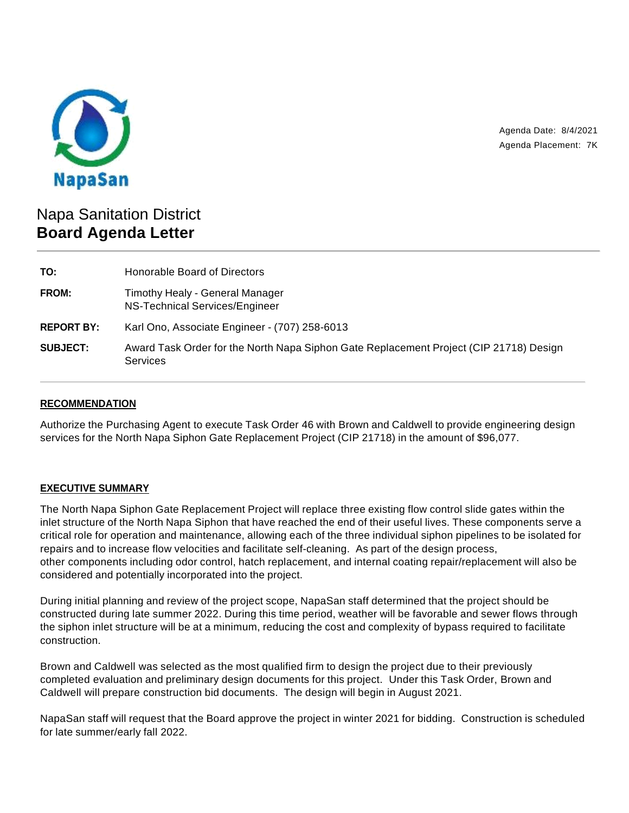

Agenda Date: 8/4/2021 Agenda Placement: 7K

# Napa Sanitation District **Board Agenda Letter**

| TO:               | Honorable Board of Directors                                                                              |
|-------------------|-----------------------------------------------------------------------------------------------------------|
| FROM:             | Timothy Healy - General Manager<br>NS-Technical Services/Engineer                                         |
| <b>REPORT BY:</b> | Karl Ono, Associate Engineer - (707) 258-6013                                                             |
| <b>SUBJECT:</b>   | Award Task Order for the North Napa Siphon Gate Replacement Project (CIP 21718) Design<br><b>Services</b> |

# **RECOMMENDATION**

Authorize the Purchasing Agent to execute Task Order 46 with Brown and Caldwell to provide engineering design services for the North Napa Siphon Gate Replacement Project (CIP 21718) in the amount of \$96,077.

# **EXECUTIVE SUMMARY**

The North Napa Siphon Gate Replacement Project will replace three existing flow control slide gates within the inlet structure of the North Napa Siphon that have reached the end of their useful lives. These components serve a critical role for operation and maintenance, allowing each of the three individual siphon pipelines to be isolated for repairs and to increase flow velocities and facilitate self-cleaning. As part of the design process, other components including odor control, hatch replacement, and internal coating repair/replacement will also be considered and potentially incorporated into the project.

During initial planning and review of the project scope, NapaSan staff determined that the project should be constructed during late summer 2022. During this time period, weather will be favorable and sewer flows through the siphon inlet structure will be at a minimum, reducing the cost and complexity of bypass required to facilitate construction.

Brown and Caldwell was selected as the most qualified firm to design the project due to their previously completed evaluation and preliminary design documents for this project. Under this Task Order, Brown and Caldwell will prepare construction bid documents. The design will begin in August 2021.

NapaSan staff will request that the Board approve the project in winter 2021 for bidding. Construction is scheduled for late summer/early fall 2022.